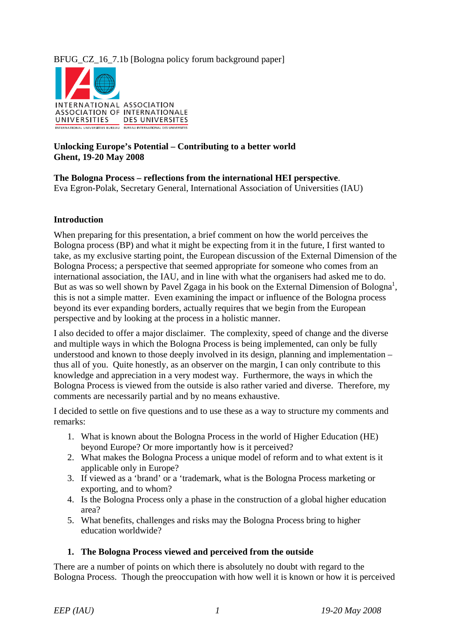# BFUG\_CZ\_16\_7.1b [Bologna policy forum background paper]



### **Unlocking Europe's Potential – Contributing to a better world Ghent, 19-20 May 2008**

**The Bologna Process – reflections from the international HEI perspective**. Eva Egron-Polak, Secretary General, International Association of Universities (IAU)

#### **Introduction**

When preparing for this presentation, a brief comment on how the world perceives the Bologna process (BP) and what it might be expecting from it in the future, I first wanted to take, as my exclusive starting point, the European discussion of the External Dimension of the Bologna Process; a perspective that seemed appropriate for someone who comes from an international association, the IAU, and in line with what the organisers had asked me to do. But as was so well shown by Pavel Zgaga in his book on the External Dimension of Bologna<sup>1</sup>, this is not a simple matter. Even examining the impact or influence of the Bologna process beyond its ever expanding borders, actually requires that we begin from the European perspective and by looking at the process in a holistic manner.

I also decided to offer a major disclaimer. The complexity, speed of change and the diverse and multiple ways in which the Bologna Process is being implemented, can only be fully understood and known to those deeply involved in its design, planning and implementation – thus all of you. Quite honestly, as an observer on the margin, I can only contribute to this knowledge and appreciation in a very modest way. Furthermore, the ways in which the Bologna Process is viewed from the outside is also rather varied and diverse. Therefore, my comments are necessarily partial and by no means exhaustive.

I decided to settle on five questions and to use these as a way to structure my comments and remarks:

- 1. What is known about the Bologna Process in the world of Higher Education (HE) beyond Europe? Or more importantly how is it perceived?
- 2. What makes the Bologna Process a unique model of reform and to what extent is it applicable only in Europe?
- 3. If viewed as a 'brand' or a 'trademark, what is the Bologna Process marketing or exporting, and to whom?
- 4. Is the Bologna Process only a phase in the construction of a global higher education area?
- 5. What benefits, challenges and risks may the Bologna Process bring to higher education worldwide?

#### **1. The Bologna Process viewed and perceived from the outside**

There are a number of points on which there is absolutely no doubt with regard to the Bologna Process. Though the preoccupation with how well it is known or how it is perceived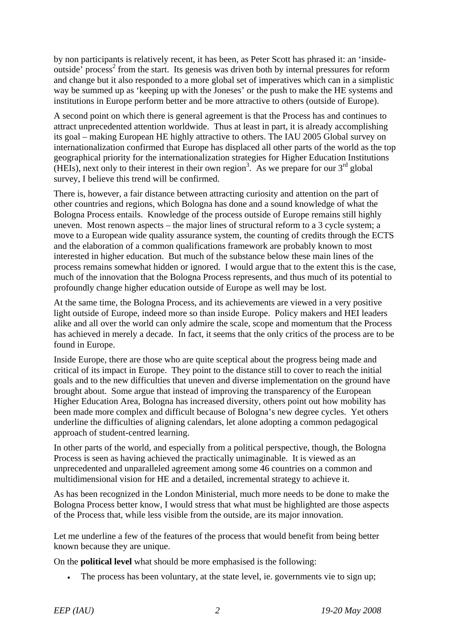by non participants is relatively recent, it has been, as Peter Scott has phrased it: an 'insideoutside' process<sup>2</sup> from the start. Its genesis was driven both by internal pressures for reform and change but it also responded to a more global set of imperatives which can in a simplistic way be summed up as 'keeping up with the Joneses' or the push to make the HE systems and institutions in Europe perform better and be more attractive to others (outside of Europe).

A second point on which there is general agreement is that the Process has and continues to attract unprecedented attention worldwide. Thus at least in part, it is already accomplishing its goal – making European HE highly attractive to others. The IAU 2005 Global survey on internationalization confirmed that Europe has displaced all other parts of the world as the top geographical priority for the internationalization strategies for Higher Education Institutions (HEIs), next only to their interest in their own region<sup>3</sup>. As we prepare for our  $3<sup>rd</sup>$  global survey, I believe this trend will be confirmed.

There is, however, a fair distance between attracting curiosity and attention on the part of other countries and regions, which Bologna has done and a sound knowledge of what the Bologna Process entails. Knowledge of the process outside of Europe remains still highly uneven. Most renown aspects – the major lines of structural reform to a 3 cycle system; a move to a European wide quality assurance system, the counting of credits through the ECTS and the elaboration of a common qualifications framework are probably known to most interested in higher education. But much of the substance below these main lines of the process remains somewhat hidden or ignored. I would argue that to the extent this is the case, much of the innovation that the Bologna Process represents, and thus much of its potential to profoundly change higher education outside of Europe as well may be lost.

At the same time, the Bologna Process, and its achievements are viewed in a very positive light outside of Europe, indeed more so than inside Europe. Policy makers and HEI leaders alike and all over the world can only admire the scale, scope and momentum that the Process has achieved in merely a decade. In fact, it seems that the only critics of the process are to be found in Europe.

Inside Europe, there are those who are quite sceptical about the progress being made and critical of its impact in Europe. They point to the distance still to cover to reach the initial goals and to the new difficulties that uneven and diverse implementation on the ground have brought about. Some argue that instead of improving the transparency of the European Higher Education Area, Bologna has increased diversity, others point out how mobility has been made more complex and difficult because of Bologna's new degree cycles. Yet others underline the difficulties of aligning calendars, let alone adopting a common pedagogical approach of student-centred learning.

In other parts of the world, and especially from a political perspective, though, the Bologna Process is seen as having achieved the practically unimaginable. It is viewed as an unprecedented and unparalleled agreement among some 46 countries on a common and multidimensional vision for HE and a detailed, incremental strategy to achieve it.

As has been recognized in the London Ministerial, much more needs to be done to make the Bologna Process better know, I would stress that what must be highlighted are those aspects of the Process that, while less visible from the outside, are its major innovation.

Let me underline a few of the features of the process that would benefit from being better known because they are unique.

On the **political level** what should be more emphasised is the following:

The process has been voluntary, at the state level, ie. governments vie to sign up;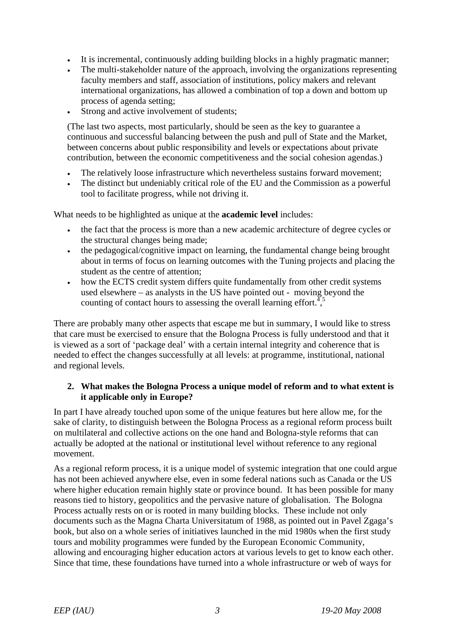- It is incremental, continuously adding building blocks in a highly pragmatic manner;
- The multi-stakeholder nature of the approach, involving the organizations representing faculty members and staff, association of institutions, policy makers and relevant international organizations, has allowed a combination of top a down and bottom up process of agenda setting;
- Strong and active involvement of students;

(The last two aspects, most particularly, should be seen as the key to guarantee a continuous and successful balancing between the push and pull of State and the Market, between concerns about public responsibility and levels or expectations about private contribution, between the economic competitiveness and the social cohesion agendas.)

- The relatively loose infrastructure which nevertheless sustains forward movement;
- The distinct but undeniably critical role of the EU and the Commission as a powerful tool to facilitate progress, while not driving it.

What needs to be highlighted as unique at the **academic level** includes:

- the fact that the process is more than a new academic architecture of degree cycles or the structural changes being made;
- the pedagogical/cognitive impact on learning, the fundamental change being brought about in terms of focus on learning outcomes with the Tuning projects and placing the student as the centre of attention;
- how the ECTS credit system differs quite fundamentally from other credit systems used elsewhere – as analysts in the US have pointed out - moving beyond the counting of contact hours to assessing the overall learning effort.<sup> $4,5$ </sup>

There are probably many other aspects that escape me but in summary, I would like to stress that care must be exercised to ensure that the Bologna Process is fully understood and that it is viewed as a sort of 'package deal' with a certain internal integrity and coherence that is needed to effect the changes successfully at all levels: at programme, institutional, national and regional levels.

### **2. What makes the Bologna Process a unique model of reform and to what extent is it applicable only in Europe?**

In part I have already touched upon some of the unique features but here allow me, for the sake of clarity, to distinguish between the Bologna Process as a regional reform process built on multilateral and collective actions on the one hand and Bologna-style reforms that can actually be adopted at the national or institutional level without reference to any regional movement.

As a regional reform process, it is a unique model of systemic integration that one could argue has not been achieved anywhere else, even in some federal nations such as Canada or the US where higher education remain highly state or province bound. It has been possible for many reasons tied to history, geopolitics and the pervasive nature of globalisation. The Bologna Process actually rests on or is rooted in many building blocks. These include not only documents such as the Magna Charta Universitatum of 1988, as pointed out in Pavel Zgaga's book, but also on a whole series of initiatives launched in the mid 1980s when the first study tours and mobility programmes were funded by the European Economic Community, allowing and encouraging higher education actors at various levels to get to know each other. Since that time, these foundations have turned into a whole infrastructure or web of ways for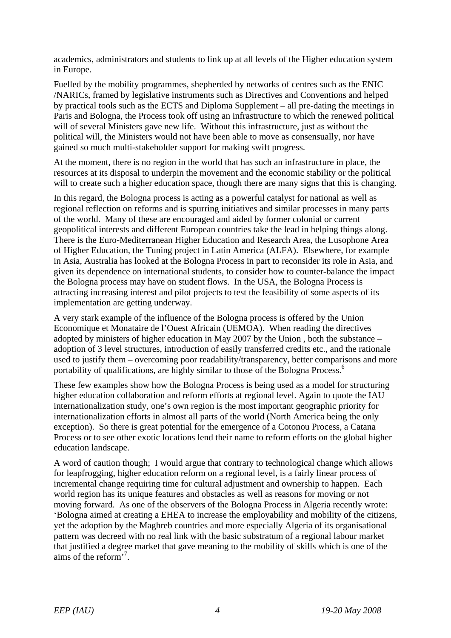academics, administrators and students to link up at all levels of the Higher education system in Europe.

Fuelled by the mobility programmes, shepherded by networks of centres such as the ENIC /NARICs, framed by legislative instruments such as Directives and Conventions and helped by practical tools such as the ECTS and Diploma Supplement – all pre-dating the meetings in Paris and Bologna, the Process took off using an infrastructure to which the renewed political will of several Ministers gave new life. Without this infrastructure, just as without the political will, the Ministers would not have been able to move as consensually, nor have gained so much multi-stakeholder support for making swift progress.

At the moment, there is no region in the world that has such an infrastructure in place, the resources at its disposal to underpin the movement and the economic stability or the political will to create such a higher education space, though there are many signs that this is changing.

In this regard, the Bologna process is acting as a powerful catalyst for national as well as regional reflection on reforms and is spurring initiatives and similar processes in many parts of the world. Many of these are encouraged and aided by former colonial or current geopolitical interests and different European countries take the lead in helping things along. There is the Euro-Mediterranean Higher Education and Research Area, the Lusophone Area of Higher Education, the Tuning project in Latin America (ALFA). Elsewhere, for example in Asia, Australia has looked at the Bologna Process in part to reconsider its role in Asia, and given its dependence on international students, to consider how to counter-balance the impact the Bologna process may have on student flows. In the USA, the Bologna Process is attracting increasing interest and pilot projects to test the feasibility of some aspects of its implementation are getting underway.

A very stark example of the influence of the Bologna process is offered by the Union Economique et Monataire de l'Ouest Africain (UEMOA). When reading the directives adopted by ministers of higher education in May 2007 by the Union , both the substance – adoption of 3 level structures, introduction of easily transferred credits etc., and the rationale used to justify them – overcoming poor readability/transparency, better comparisons and more portability of qualifications, are highly similar to those of the Bologna Process.<sup>6</sup>

These few examples show how the Bologna Process is being used as a model for structuring higher education collaboration and reform efforts at regional level. Again to quote the IAU internationalization study, one's own region is the most important geographic priority for internationalization efforts in almost all parts of the world (North America being the only exception). So there is great potential for the emergence of a Cotonou Process, a Catana Process or to see other exotic locations lend their name to reform efforts on the global higher education landscape.

A word of caution though; I would argue that contrary to technological change which allows for leapfrogging, higher education reform on a regional level, is a fairly linear process of incremental change requiring time for cultural adjustment and ownership to happen. Each world region has its unique features and obstacles as well as reasons for moving or not moving forward. As one of the observers of the Bologna Process in Algeria recently wrote: 'Bologna aimed at creating a EHEA to increase the employability and mobility of the citizens, yet the adoption by the Maghreb countries and more especially Algeria of its organisational pattern was decreed with no real link with the basic substratum of a regional labour market that justified a degree market that gave meaning to the mobility of skills which is one of the aims of the reform'<sup>7</sup> .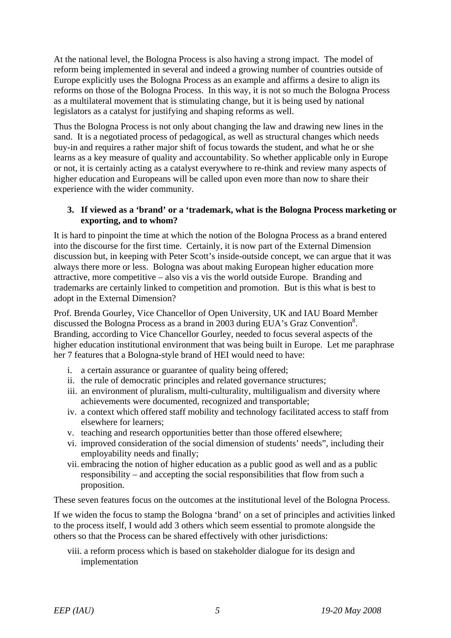At the national level, the Bologna Process is also having a strong impact. The model of reform being implemented in several and indeed a growing number of countries outside of Europe explicitly uses the Bologna Process as an example and affirms a desire to align its reforms on those of the Bologna Process. In this way, it is not so much the Bologna Process as a multilateral movement that is stimulating change, but it is being used by national legislators as a catalyst for justifying and shaping reforms as well.

Thus the Bologna Process is not only about changing the law and drawing new lines in the sand. It is a negotiated process of pedagogical, as well as structural changes which needs buy-in and requires a rather major shift of focus towards the student, and what he or she learns as a key measure of quality and accountability. So whether applicable only in Europe or not, it is certainly acting as a catalyst everywhere to re-think and review many aspects of higher education and Europeans will be called upon even more than now to share their experience with the wider community.

### **3. If viewed as a 'brand' or a 'trademark, what is the Bologna Process marketing or exporting, and to whom?**

It is hard to pinpoint the time at which the notion of the Bologna Process as a brand entered into the discourse for the first time. Certainly, it is now part of the External Dimension discussion but, in keeping with Peter Scott's inside-outside concept, we can argue that it was always there more or less. Bologna was about making European higher education more attractive, more competitive – also vis a vis the world outside Europe. Branding and trademarks are certainly linked to competition and promotion. But is this what is best to adopt in the External Dimension?

Prof. Brenda Gourley, Vice Chancellor of Open University, UK and IAU Board Member discussed the Bologna Process as a brand in 2003 during EUA's Graz Convention<sup>8</sup>. Branding, according to Vice Chancellor Gourley, needed to focus several aspects of the higher education institutional environment that was being built in Europe. Let me paraphrase her 7 features that a Bologna-style brand of HEI would need to have:

- i. a certain assurance or guarantee of quality being offered;
- ii. the rule of democratic principles and related governance structures;
- iii. an environment of pluralism, multi-culturality, multiligualism and diversity where achievements were documented, recognized and transportable;
- iv. a context which offered staff mobility and technology facilitated access to staff from elsewhere for learners;
- v. teaching and research opportunities better than those offered elsewhere;
- vi. improved consideration of the social dimension of students' needs", including their employability needs and finally;
- vii. embracing the notion of higher education as a public good as well and as a public responsibility – and accepting the social responsibilities that flow from such a proposition.

These seven features focus on the outcomes at the institutional level of the Bologna Process.

If we widen the focus to stamp the Bologna 'brand' on a set of principles and activities linked to the process itself, I would add 3 others which seem essential to promote alongside the others so that the Process can be shared effectively with other jurisdictions:

viii. a reform process which is based on stakeholder dialogue for its design and implementation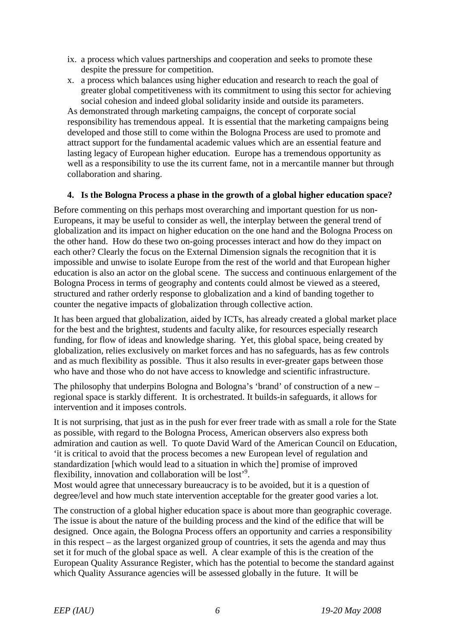- ix. a process which values partnerships and cooperation and seeks to promote these despite the pressure for competition.
- x. a process which balances using higher education and research to reach the goal of greater global competitiveness with its commitment to using this sector for achieving social cohesion and indeed global solidarity inside and outside its parameters.

As demonstrated through marketing campaigns, the concept of corporate social responsibility has tremendous appeal. It is essential that the marketing campaigns being developed and those still to come within the Bologna Process are used to promote and attract support for the fundamental academic values which are an essential feature and lasting legacy of European higher education. Europe has a tremendous opportunity as well as a responsibility to use the its current fame, not in a mercantile manner but through collaboration and sharing.

# **4. Is the Bologna Process a phase in the growth of a global higher education space?**

Before commenting on this perhaps most overarching and important question for us non-Europeans, it may be useful to consider as well, the interplay between the general trend of globalization and its impact on higher education on the one hand and the Bologna Process on the other hand. How do these two on-going processes interact and how do they impact on each other? Clearly the focus on the External Dimension signals the recognition that it is impossible and unwise to isolate Europe from the rest of the world and that European higher education is also an actor on the global scene. The success and continuous enlargement of the Bologna Process in terms of geography and contents could almost be viewed as a steered, structured and rather orderly response to globalization and a kind of banding together to counter the negative impacts of globalization through collective action.

It has been argued that globalization, aided by ICTs, has already created a global market place for the best and the brightest, students and faculty alike, for resources especially research funding, for flow of ideas and knowledge sharing. Yet, this global space, being created by globalization, relies exclusively on market forces and has no safeguards, has as few controls and as much flexibility as possible. Thus it also results in ever-greater gaps between those who have and those who do not have access to knowledge and scientific infrastructure.

The philosophy that underpins Bologna and Bologna's 'brand' of construction of a new  $$ regional space is starkly different. It is orchestrated. It builds-in safeguards, it allows for intervention and it imposes controls.

It is not surprising, that just as in the push for ever freer trade with as small a role for the State as possible, with regard to the Bologna Process, American observers also express both admiration and caution as well. To quote David Ward of the American Council on Education, 'it is critical to avoid that the process becomes a new European level of regulation and standardization [which would lead to a situation in which the] promise of improved flexibility, innovation and collaboration will be lost<sup>'9</sup>.

Most would agree that unnecessary bureaucracy is to be avoided, but it is a question of degree/level and how much state intervention acceptable for the greater good varies a lot.

The construction of a global higher education space is about more than geographic coverage. The issue is about the nature of the building process and the kind of the edifice that will be designed. Once again, the Bologna Process offers an opportunity and carries a responsibility in this respect – as the largest organized group of countries, it sets the agenda and may thus set it for much of the global space as well. A clear example of this is the creation of the European Quality Assurance Register, which has the potential to become the standard against which Quality Assurance agencies will be assessed globally in the future. It will be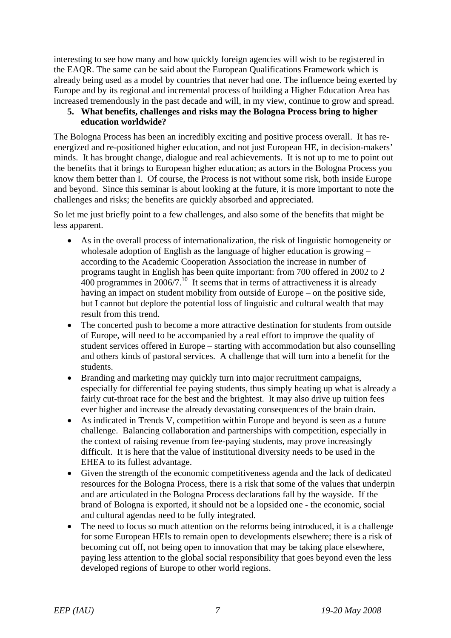interesting to see how many and how quickly foreign agencies will wish to be registered in the EAQR. The same can be said about the European Qualifications Framework which is already being used as a model by countries that never had one. The influence being exerted by Europe and by its regional and incremental process of building a Higher Education Area has increased tremendously in the past decade and will, in my view, continue to grow and spread.

# **5. What benefits, challenges and risks may the Bologna Process bring to higher education worldwide?**

The Bologna Process has been an incredibly exciting and positive process overall. It has reenergized and re-positioned higher education, and not just European HE, in decision-makers' minds. It has brought change, dialogue and real achievements. It is not up to me to point out the benefits that it brings to European higher education; as actors in the Bologna Process you know them better than I. Of course, the Process is not without some risk, both inside Europe and beyond. Since this seminar is about looking at the future, it is more important to note the challenges and risks; the benefits are quickly absorbed and appreciated.

So let me just briefly point to a few challenges, and also some of the benefits that might be less apparent.

- As in the overall process of internationalization, the risk of linguistic homogeneity or wholesale adoption of English as the language of higher education is growing – according to the Academic Cooperation Association the increase in number of programs taught in English has been quite important: from 700 offered in 2002 to 2  $400$  programmes in 2006/7.<sup>10</sup> It seems that in terms of attractiveness it is already having an impact on student mobility from outside of Europe – on the positive side, but I cannot but deplore the potential loss of linguistic and cultural wealth that may result from this trend.
- The concerted push to become a more attractive destination for students from outside of Europe, will need to be accompanied by a real effort to improve the quality of student services offered in Europe – starting with accommodation but also counselling and others kinds of pastoral services. A challenge that will turn into a benefit for the students.
- Branding and marketing may quickly turn into major recruitment campaigns, especially for differential fee paying students, thus simply heating up what is already a fairly cut-throat race for the best and the brightest. It may also drive up tuition fees ever higher and increase the already devastating consequences of the brain drain.
- As indicated in Trends V, competition within Europe and beyond is seen as a future challenge. Balancing collaboration and partnerships with competition, especially in the context of raising revenue from fee-paying students, may prove increasingly difficult. It is here that the value of institutional diversity needs to be used in the EHEA to its fullest advantage.
- Given the strength of the economic competitiveness agenda and the lack of dedicated resources for the Bologna Process, there is a risk that some of the values that underpin and are articulated in the Bologna Process declarations fall by the wayside. If the brand of Bologna is exported, it should not be a lopsided one - the economic, social and cultural agendas need to be fully integrated.
- The need to focus so much attention on the reforms being introduced, it is a challenge for some European HEIs to remain open to developments elsewhere; there is a risk of becoming cut off, not being open to innovation that may be taking place elsewhere, paying less attention to the global social responsibility that goes beyond even the less developed regions of Europe to other world regions.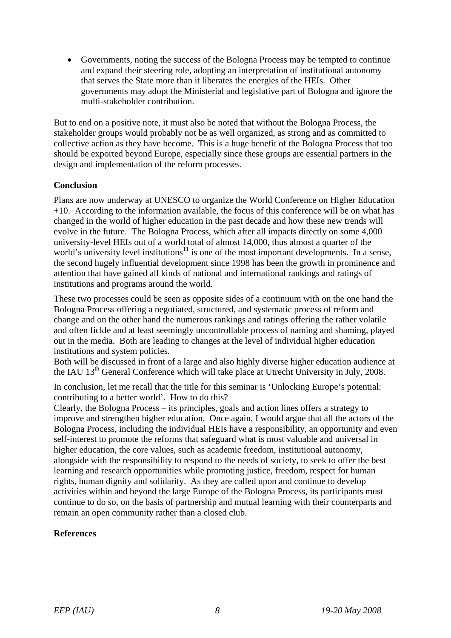• Governments, noting the success of the Bologna Process may be tempted to continue and expand their steering role, adopting an interpretation of institutional autonomy that serves the State more than it liberates the energies of the HEIs. Other governments may adopt the Ministerial and legislative part of Bologna and ignore the multi-stakeholder contribution.

But to end on a positive note, it must also be noted that without the Bologna Process, the stakeholder groups would probably not be as well organized, as strong and as committed to collective action as they have become. This is a huge benefit of the Bologna Process that too should be exported beyond Europe, especially since these groups are essential partners in the design and implementation of the reform processes.

# **Conclusion**

Plans are now underway at UNESCO to organize the World Conference on Higher Education  $+10$ . According to the information available, the focus of this conference will be on what has changed in the world of higher education in the past decade and how these new trends will evolve in the future. The Bologna Process, which after all impacts directly on some 4,000 university-level HEIs out of a world total of almost 14,000, thus almost a quarter of the world's university level institutions $11$  is one of the most important developments. In a sense, the second hugely influential development since 1998 has been the growth in prominence and attention that have gained all kinds of national and international rankings and ratings of institutions and programs around the world.

These two processes could be seen as opposite sides of a continuum with on the one hand the Bologna Process offering a negotiated, structured, and systematic process of reform and change and on the other hand the numerous rankings and ratings offering the rather volatile and often fickle and at least seemingly uncontrollable process of naming and shaming, played out in the media. Both are leading to changes at the level of individual higher education institutions and system policies.

Both will be discussed in front of a large and also highly diverse higher education audience at the IAU 13<sup>th</sup> General Conference which will take place at Utrecht University in July, 2008.

In conclusion, let me recall that the title for this seminar is 'Unlocking Europe's potential: contributing to a better world'. How to do this?

Clearly, the Bologna Process – its principles, goals and action lines offers a strategy to improve and strengthen higher education. Once again, I would argue that all the actors of the Bologna Process, including the individual HEIs have a responsibility, an opportunity and even self-interest to promote the reforms that safeguard what is most valuable and universal in higher education, the core values, such as academic freedom, institutional autonomy, alongside with the responsibility to respond to the needs of society, to seek to offer the best learning and research opportunities while promoting justice, freedom, respect for human rights, human dignity and solidarity. As they are called upon and continue to develop activities within and beyond the large Europe of the Bologna Process, its participants must continue to do so, on the basis of partnership and mutual learning with their counterparts and remain an open community rather than a closed club.

# **References**